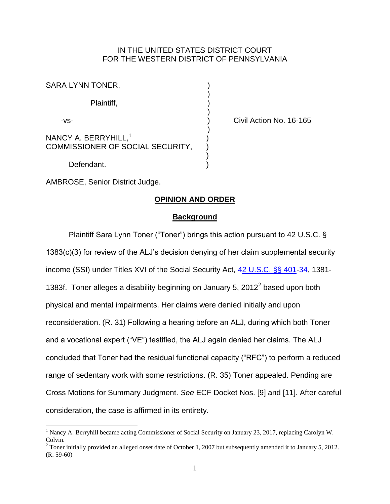# IN THE UNITED STATES DISTRICT COURT FOR THE WESTERN DISTRICT OF PENNSYLVANIA

| SARA LYNN TONER,                                                     |  |
|----------------------------------------------------------------------|--|
| Plaintiff,                                                           |  |
| -vs-                                                                 |  |
| NANCY A. BERRYHILL, <sup>1</sup><br>COMMISSIONER OF SOCIAL SECURITY, |  |
| Defendant.                                                           |  |

Civil Action No. 16-165

AMBROSE, Senior District Judge.

 $\overline{a}$ 

## **OPINION AND ORDER**

#### **Background**

Plaintiff Sara Lynn Toner ("Toner") brings this action pursuant to 42 U.S.C. § 1383(c)(3) for review of the ALJ's decision denying of her claim supplemental security income (SSI) under Titles XVI of the Social Security Act, [42 U.S.C. §§ 401](http://www.westlaw.com/Find/default.wl?rs=kmfn4.8&vr=2.0&kmvr=2.6&FindType=L&DB=1000546&DocName=42USCAS401&kmsource=da3.0)[-34,](http://www.westlaw.com/Find/default.wl?rs=kmfn4.8&vr=2.0&kmvr=2.6&FindType=L&DB=1000546&DocName=42USCAS434&kmsource=da3.0) 1381- 1383f. Toner alleges a disability beginning on January 5, 2012 $^2$  based upon both physical and mental impairments. Her claims were denied initially and upon reconsideration. (R. 31) Following a hearing before an ALJ, during which both Toner and a vocational expert ("VE") testified, the ALJ again denied her claims. The ALJ concluded that Toner had the residual functional capacity ("RFC") to perform a reduced range of sedentary work with some restrictions. (R. 35) Toner appealed. Pending are Cross Motions for Summary Judgment. *See* ECF Docket Nos. [9] and [11]. After careful consideration, the case is affirmed in its entirety.

<sup>&</sup>lt;sup>1</sup> Nancy A. Berryhill became acting Commissioner of Social Security on January 23, 2017, replacing Carolyn W. Colvin.

 $2$  Toner initially provided an alleged onset date of October 1, 2007 but subsequently amended it to January 5, 2012. (R. 59-60)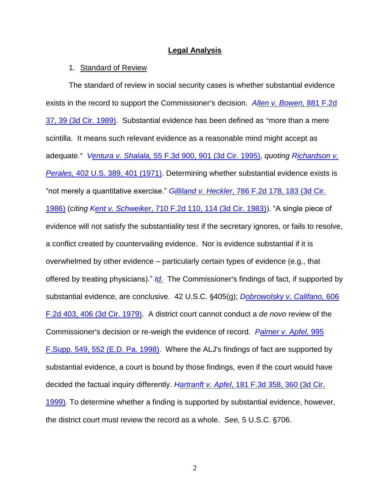## **Legal Analysis**

#### 1. Standard of Review

The standard of review in social security cases is whether substantial evidence exists in the record to support the Commissioner's decision. *Allen v. Bowen*, 881 F.2d [37, 39 \(3d Cir. 1989\).](http://www.westlaw.com/Find/default.wl?rs=kmfn4.8&vr=2.0&kmvr=2.6&FindType=Y&DB=0000350&serialnum=1989111756&kmsource=da3.0) Substantial evidence has been defined as "more than a mere scintilla. It means such relevant evidence as a reasonable mind might accept as adequate.@ *Ventura v. Shalala,* [55 F.3d 900, 901 \(3d Cir. 1995\),](http://www.westlaw.com/Find/default.wl?rs=kmfn4.8&vr=2.0&kmvr=2.6&FindType=Y&DB=0000506&serialnum=1995121575&kmsource=da3.0) *quoting [Richardson v.](http://www.westlaw.com/Find/default.wl?rs=kmfn4.8&vr=2.0&kmvr=2.6&FindType=Y&DB=0000780&serialnum=1971127062&kmsource=da3.0)  Perales,* [402 U.S. 389, 401 \(1971\).](http://www.westlaw.com/Find/default.wl?rs=kmfn4.8&vr=2.0&kmvr=2.6&FindType=Y&DB=0000780&serialnum=1971127062&kmsource=da3.0) Determining whether substantial evidence exists is "not merely a quantitative exercise." *Gilliland v. Heckler*[, 786 F.2d 178, 183 \(3d Cir.](http://www.westlaw.com/Find/default.wl?rs=kmfn4.8&vr=2.0&kmvr=2.6&FindType=Y&DB=0000350&serialnum=1986114400&kmsource=da3.0)  [1986\)](http://www.westlaw.com/Find/default.wl?rs=kmfn4.8&vr=2.0&kmvr=2.6&FindType=Y&DB=0000350&serialnum=1986114400&kmsource=da3.0) (*citing Kent v. Schweiker*[, 710 F.2d 110, 114 \(3d Cir. 1983\)\)](http://www.westlaw.com/Find/default.wl?rs=kmfn4.8&vr=2.0&kmvr=2.6&FindType=Y&DB=0000350&serialnum=1983129619&kmsource=da3.0). "A single piece of evidence will not satisfy the substantiality test if the secretary ignores, or fails to resolve, a conflict created by countervailing evidence. Nor is evidence substantial if it is overwhelmed by other evidence – particularly certain types of evidence (e.g., that offered by treating physicians)." *[Id.](http://www.westlaw.com/Find/default.wl?rs=kmfn4.8&vr=2.0&kmvr=2.6&FindType=Y&DB=0000350&serialnum=1983129619&kmsource=da3.0)* The Commissioner's findings of fact, if supported by substantial evidence, are conclusive. 42 U.S.C. §405(g); *Dobrowolsky v. Califano*, 606 [F.2d 403, 406 \(3d Cir. 1979\).](http://www.westlaw.com/Find/default.wl?rs=kmfn4.8&vr=2.0&kmvr=2.6&FindType=Y&DB=0000350&serialnum=1979114681&kmsource=da3.0) A district court cannot conduct a *de novo* review of the Commissioner's decision or re-weigh the evidence of record. *Palmer v. Apfel*, 995 [F.Supp. 549, 552 \(E.D. Pa. 1998\).](http://www.westlaw.com/Find/default.wl?rs=kmfn4.8&vr=2.0&kmvr=2.6&FindType=Y&DB=0000345&serialnum=1998062598&kmsource=da3.0) Where the ALJ's findings of fact are supported by substantial evidence, a court is bound by those findings, even if the court would have decided the factual inquiry differently. *Hartranft v. Apfel*[, 181 F.3d 358, 360 \(3d Cir.](http://www.westlaw.com/Find/default.wl?rs=kmfn4.8&vr=2.0&kmvr=2.6&FindType=Y&DB=0000506&serialnum=1999124157&kmsource=da3.0)  [1999\).](http://www.westlaw.com/Find/default.wl?rs=kmfn4.8&vr=2.0&kmvr=2.6&FindType=Y&DB=0000506&serialnum=1999124157&kmsource=da3.0) To determine whether a finding is supported by substantial evidence, however, the district court must review the record as a whole. *See,* 5 U.S.C. '706.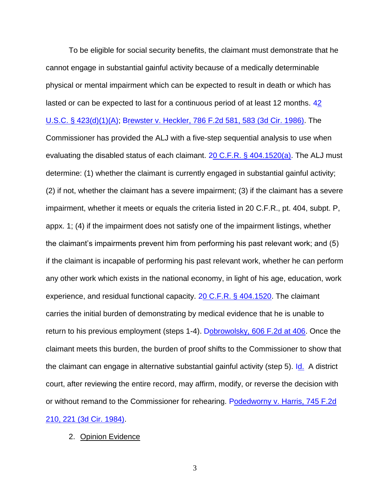To be eligible for social security benefits, the claimant must demonstrate that he cannot engage in substantial gainful activity because of a medically determinable physical or mental impairment which can be expected to result in death or which has lasted or can be expected to last for a continuous period of at least 12 months. 42 [U.S.C. § 423\(d\)\(1\)\(A\);](http://www.westlaw.com/Find/default.wl?rs=kmfn4.8&vr=2.0&kmvr=2.6&FindType=L&DB=1000546&DocName=42USCAS423&kmsource=da3.0) [Brewster v. Heckler, 786 F.2d 581, 583 \(3d Cir. 1986\).](http://www.westlaw.com/Find/default.wl?rs=kmfn4.8&vr=2.0&kmvr=2.6&FindType=Y&DB=0000350&serialnum=1986114041&kmsource=da3.0) The Commissioner has provided the ALJ with a five-step sequential analysis to use when evaluating the disabled status of each claimant. [20 C.F.R. § 404.1520\(a\).](http://www.westlaw.com/Find/default.wl?rs=kmfn4.8&vr=2.0&kmvr=2.6&FindType=L&DB=1000547&DocName=20CFRS404.1520&kmsource=da3.0) The ALJ must determine: (1) whether the claimant is currently engaged in substantial gainful activity; (2) if not, whether the claimant has a severe impairment; (3) if the claimant has a severe impairment, whether it meets or equals the criteria listed in 20 C.F.R., pt. 404, subpt. P, appx. 1; (4) if the impairment does not satisfy one of the impairment listings, whether the claimant's impairments prevent him from performing his past relevant work; and (5) if the claimant is incapable of performing his past relevant work, whether he can perform any other work which exists in the national economy, in light of his age, education, work experience, and residual functional capacity. [20 C.F.R. § 404.1520.](http://www.westlaw.com/Find/default.wl?rs=kmfn4.8&vr=2.0&kmvr=2.6&FindType=L&DB=1000547&DocName=20CFRS404.1520&kmsource=da3.0) The claimant carries the initial burden of demonstrating by medical evidence that he is unable to return to his previous employment (steps 1-4). [Dobrowolsky, 606 F.2d at 406.](http://www.westlaw.com/Find/default.wl?rs=kmfn4.8&vr=2.0&kmvr=2.6&FindType=Y&DB=0000350&serialnum=1979114681&kmsource=da3.0) Once the claimant meets this burden, the burden of proof shifts to the Commissioner to show that the claimant can engage in alternative substantial gainful activity (step 5). [Id.](http://www.westlaw.com/Find/default.wl?rs=kmfn4.8&vr=2.0&kmvr=2.6&FindType=Y&DB=0000350&serialnum=1979114681&kmsource=da3.0) A district court, after reviewing the entire record, may affirm, modify, or reverse the decision with or without remand to the Commissioner for rehearing. Podedworny v. Harris, 745 F.2d [210, 221 \(3d Cir. 1984\).](http://www.westlaw.com/Find/default.wl?rs=kmfn4.8&vr=2.0&kmvr=2.6&FindType=Y&DB=0000350&serialnum=1984145001&kmsource=da3.0)

2. Opinion Evidence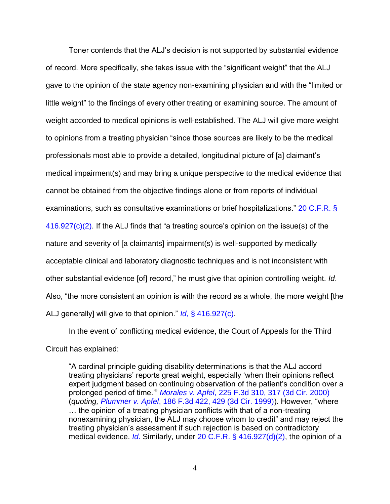Toner contends that the ALJ's decision is not supported by substantial evidence of record. More specifically, she takes issue with the "significant weight" that the ALJ gave to the opinion of the state agency non-examining physician and with the "limited or little weight" to the findings of every other treating or examining source. The amount of weight accorded to medical opinions is well-established. The ALJ will give more weight to opinions from a treating physician "since those sources are likely to be the medical professionals most able to provide a detailed, longitudinal picture of [a] claimant's medical impairment(s) and may bring a unique perspective to the medical evidence that cannot be obtained from the objective findings alone or from reports of individual examinations, such as consultative examinations or brief hospitalizations." [20 C.F.R. §](http://www.westlaw.com/Find/default.wl?rs=kmfn4.8&vr=2.0&kmvr=2.6&FindType=L&DB=1000547&DocName=20CFRS416.927&kmsource=da3.0)  [416.927\(c\)\(2\).](http://www.westlaw.com/Find/default.wl?rs=kmfn4.8&vr=2.0&kmvr=2.6&FindType=L&DB=1000547&DocName=20CFRS416.927&kmsource=da3.0) If the ALJ finds that "a treating source's opinion on the issue(s) of the nature and severity of [a claimants] impairment(s) is well-supported by medically acceptable clinical and laboratory diagnostic techniques and is not inconsistent with other substantial evidence [of] record," he must give that opinion controlling weight. *Id*. Also, "the more consistent an opinion is with the record as a whole, the more weight [the ALJ generally] will give to that opinion." *Id*[, § 416.927\(c\).](http://www.westlaw.com/Find/default.wl?rs=kmfn4.8&vr=2.0&kmvr=2.6&FindType=Y&cite=20CFRS416.927&kmsource=da3.0)

In the event of conflicting medical evidence, the Court of Appeals for the Third Circuit has explained:

"A cardinal principle guiding disability determinations is that the ALJ accord treating physicians' reports great weight, especially 'when their opinions reflect expert judgment based on continuing observation of the patient's condition over a prolonged period of time.'" *Morales v. Apfel*[, 225 F.3d 310, 317 \(3d Cir. 2000\)](http://www.westlaw.com/Find/default.wl?rs=kmfn4.8&vr=2.0&kmvr=2.6&FindType=Y&DB=0000506&serialnum=2000486883&kmsource=da3.0) (*quoting, Plummer v. Apfel*[, 186 F.3d 422, 429 \(3d Cir. 1999\)\)](http://www.westlaw.com/Find/default.wl?rs=kmfn4.8&vr=2.0&kmvr=2.6&FindType=Y&DB=0000506&serialnum=1999183945&kmsource=da3.0). However, "where … the opinion of a treating physician conflicts with that of a non-treating nonexamining physician, the ALJ may choose whom to credit" and may reject the treating physician's assessment if such rejection is based on contradictory medical evidence. *[Id](http://www.westlaw.com/Find/default.wl?rs=kmfn4.8&vr=2.0&kmvr=2.6&FindType=Y&DB=0000506&serialnum=1999183945&kmsource=da3.0)*. Similarly, under [20 C.F.R. § 416.927\(d\)\(2\),](http://www.westlaw.com/Find/default.wl?rs=kmfn4.8&vr=2.0&kmvr=2.6&FindType=L&DB=1000547&DocName=20CFRS416.927&kmsource=da3.0) the opinion of a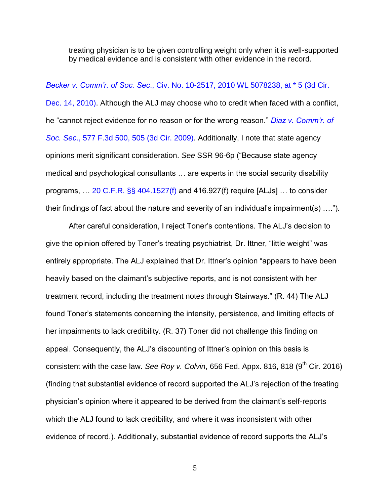treating physician is to be given controlling weight only when it is well-supported by medical evidence and is consistent with other evidence in the record.

### *Becker v. Comm'r. of Soc. Sec*[., Civ. No. 10-2517, 2010 WL 5078238, at \\* 5 \(3d Cir.](http://www.westlaw.com/Find/default.wl?rs=kmfn4.8&vr=2.0&kmvr=2.6&FindType=Y&DB=0000999&serialnum=2024075515&kmsource=da3.0)

[Dec. 14, 2010\).](http://www.westlaw.com/Find/default.wl?rs=kmfn4.8&vr=2.0&kmvr=2.6&FindType=Y&DB=0000999&serialnum=2024075515&kmsource=da3.0) Although the ALJ may choose who to credit when faced with a conflict, he "cannot reject evidence for no reason or for the wrong reason." *[Diaz v. Comm'r. of](http://www.westlaw.com/Find/default.wl?rs=kmfn4.8&vr=2.0&kmvr=2.6&FindType=Y&DB=0000506&serialnum=2019589100&kmsource=da3.0)  Soc. Sec*[., 577 F.3d 500, 505 \(3d Cir. 2009\).](http://www.westlaw.com/Find/default.wl?rs=kmfn4.8&vr=2.0&kmvr=2.6&FindType=Y&DB=0000506&serialnum=2019589100&kmsource=da3.0) Additionally, I note that state agency opinions merit significant consideration. *See* SSR 96-6p ("Because state agency medical and psychological consultants … are experts in the social security disability programs, … [20 C.F.R. §§ 404.1527\(f\)](http://www.westlaw.com/Find/default.wl?rs=kmfn4.8&vr=2.0&kmvr=2.6&FindType=L&DB=1000547&DocName=20CFRS404.1527&kmsource=da3.0) and 416.927(f) require [ALJs] … to consider their findings of fact about the nature and severity of an individual's impairment(s) ….").

After careful consideration, I reject Toner's contentions. The ALJ's decision to give the opinion offered by Toner's treating psychiatrist, Dr. Ittner, "little weight" was entirely appropriate. The ALJ explained that Dr. Ittner's opinion "appears to have been heavily based on the claimant's subjective reports, and is not consistent with her treatment record, including the treatment notes through Stairways." (R. 44) The ALJ found Toner's statements concerning the intensity, persistence, and limiting effects of her impairments to lack credibility. (R. 37) Toner did not challenge this finding on appeal. Consequently, the ALJ's discounting of Ittner's opinion on this basis is consistent with the case law. *See Roy v. Colvin*, 656 Fed. Appx. 816, 818 (9<sup>th</sup> Cir. 2016) (finding that substantial evidence of record supported the ALJ's rejection of the treating physician's opinion where it appeared to be derived from the claimant's self-reports which the ALJ found to lack credibility, and where it was inconsistent with other evidence of record.). Additionally, substantial evidence of record supports the ALJ's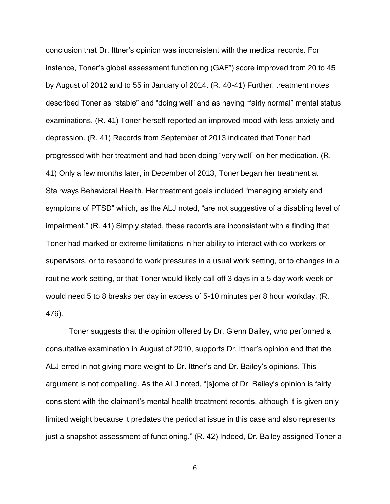conclusion that Dr. Ittner's opinion was inconsistent with the medical records. For instance, Toner's global assessment functioning (GAF") score improved from 20 to 45 by August of 2012 and to 55 in January of 2014. (R. 40-41) Further, treatment notes described Toner as "stable" and "doing well" and as having "fairly normal" mental status examinations. (R. 41) Toner herself reported an improved mood with less anxiety and depression. (R. 41) Records from September of 2013 indicated that Toner had progressed with her treatment and had been doing "very well" on her medication. (R. 41) Only a few months later, in December of 2013, Toner began her treatment at Stairways Behavioral Health. Her treatment goals included "managing anxiety and symptoms of PTSD" which, as the ALJ noted, "are not suggestive of a disabling level of impairment." (R. 41) Simply stated, these records are inconsistent with a finding that Toner had marked or extreme limitations in her ability to interact with co-workers or supervisors, or to respond to work pressures in a usual work setting, or to changes in a routine work setting, or that Toner would likely call off 3 days in a 5 day work week or would need 5 to 8 breaks per day in excess of 5-10 minutes per 8 hour workday. (R. 476).

Toner suggests that the opinion offered by Dr. Glenn Bailey, who performed a consultative examination in August of 2010, supports Dr. Ittner's opinion and that the ALJ erred in not giving more weight to Dr. Ittner's and Dr. Bailey's opinions. This argument is not compelling. As the ALJ noted, "[s]ome of Dr. Bailey's opinion is fairly consistent with the claimant's mental health treatment records, although it is given only limited weight because it predates the period at issue in this case and also represents just a snapshot assessment of functioning." (R. 42) Indeed, Dr. Bailey assigned Toner a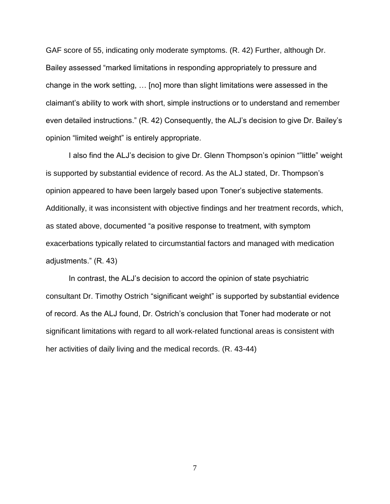GAF score of 55, indicating only moderate symptoms. (R. 42) Further, although Dr. Bailey assessed "marked limitations in responding appropriately to pressure and change in the work setting, … [no] more than slight limitations were assessed in the claimant's ability to work with short, simple instructions or to understand and remember even detailed instructions." (R. 42) Consequently, the ALJ's decision to give Dr. Bailey's opinion "limited weight" is entirely appropriate.

I also find the ALJ's decision to give Dr. Glenn Thompson's opinion ""little" weight is supported by substantial evidence of record. As the ALJ stated, Dr. Thompson's opinion appeared to have been largely based upon Toner's subjective statements. Additionally, it was inconsistent with objective findings and her treatment records, which, as stated above, documented "a positive response to treatment, with symptom exacerbations typically related to circumstantial factors and managed with medication adjustments." (R. 43)

In contrast, the ALJ's decision to accord the opinion of state psychiatric consultant Dr. Timothy Ostrich "significant weight" is supported by substantial evidence of record. As the ALJ found, Dr. Ostrich's conclusion that Toner had moderate or not significant limitations with regard to all work-related functional areas is consistent with her activities of daily living and the medical records. (R. 43-44)